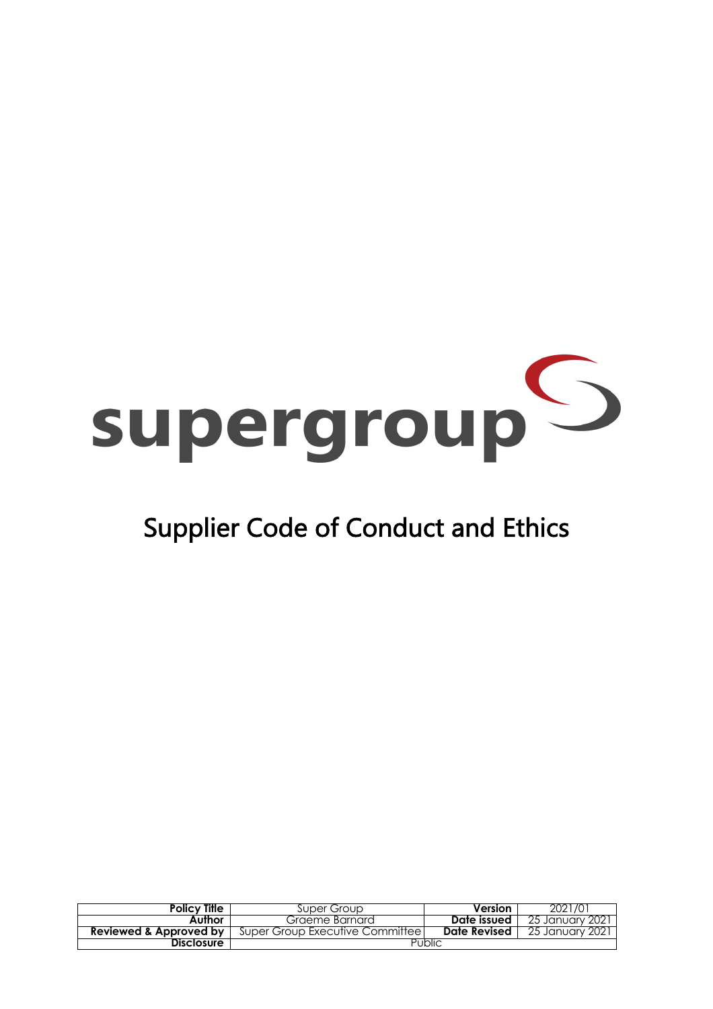# supergroup<sup>5</sup>

# Supplier Code of Conduct and Ethics

| <b>Policy Title</b>    | Super Group                       | Version      | 2021/01         |
|------------------------|-----------------------------------|--------------|-----------------|
| Author                 | Graeme Barnard                    | Date issued  | 25 January 2021 |
| Reviewed & Approved by | Super Group Executive Committee I | Date Revised | 25 January 2021 |
| Disclosure             | Public                            |              |                 |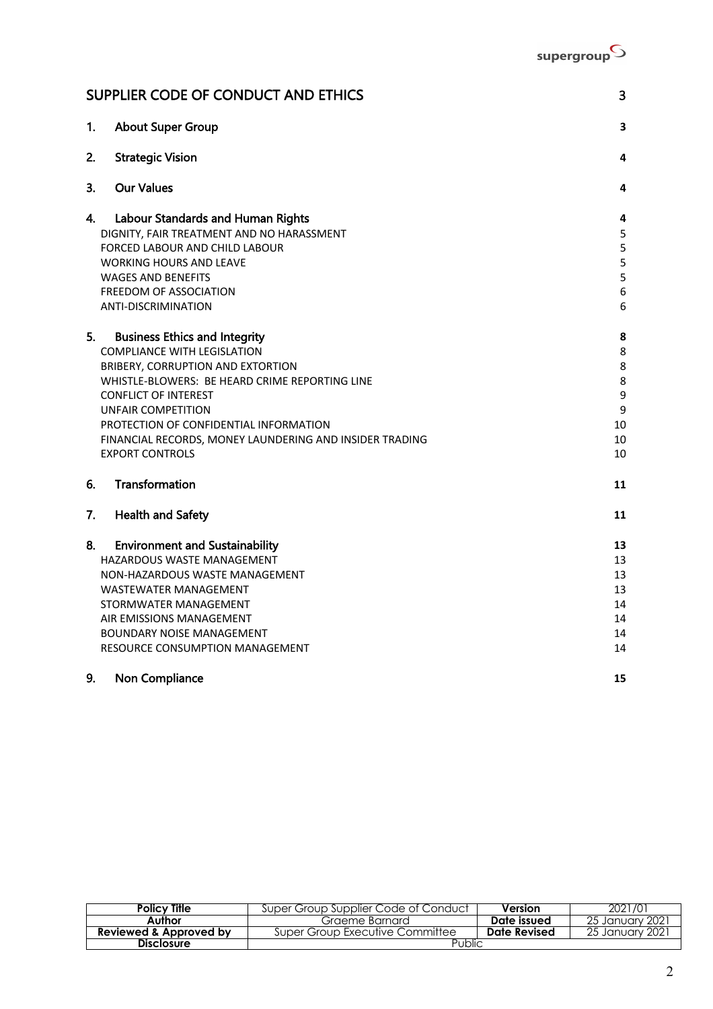

|    | SUPPLIER CODE OF CONDUCT AND ETHICS                     | 3      |
|----|---------------------------------------------------------|--------|
| 1. | <b>About Super Group</b>                                | 3      |
| 2. | <b>Strategic Vision</b>                                 | 4      |
| 3. | <b>Our Values</b>                                       | 4      |
| 4. | <b>Labour Standards and Human Rights</b>                | 4      |
|    | DIGNITY, FAIR TREATMENT AND NO HARASSMENT               | 5      |
|    | <b>FORCED LABOUR AND CHILD LABOUR</b>                   | 5      |
|    | <b>WORKING HOURS AND LEAVE</b>                          | 5      |
|    | <b>WAGES AND BENEFITS</b>                               | 5      |
|    | FREEDOM OF ASSOCIATION<br><b>ANTI-DISCRIMINATION</b>    | 6<br>6 |
|    |                                                         |        |
| 5. | <b>Business Ethics and Integrity</b>                    | 8      |
|    | <b>COMPLIANCE WITH LEGISLATION</b>                      | 8      |
|    | BRIBERY, CORRUPTION AND EXTORTION                       | 8      |
|    | WHISTLE-BLOWERS: BE HEARD CRIME REPORTING LINE          | 8      |
|    | <b>CONFLICT OF INTEREST</b>                             | 9      |
|    | UNFAIR COMPETITION                                      | 9      |
|    | PROTECTION OF CONFIDENTIAL INFORMATION                  | 10     |
|    | FINANCIAL RECORDS, MONEY LAUNDERING AND INSIDER TRADING | 10     |
|    | <b>EXPORT CONTROLS</b>                                  | 10     |
| 6. | Transformation                                          | 11     |
| 7. | <b>Health and Safety</b>                                | 11     |
| 8. | <b>Environment and Sustainability</b>                   | 13     |
|    | HAZARDOUS WASTE MANAGEMENT                              | 13     |
|    | NON-HAZARDOUS WASTE MANAGEMENT                          | 13     |
|    | <b>WASTEWATER MANAGEMENT</b>                            | 13     |
|    | STORMWATER MANAGEMENT                                   | 14     |
|    | AIR EMISSIONS MANAGEMENT                                | 14     |
|    | <b>BOUNDARY NOISE MANAGEMENT</b>                        | 14     |
|    | RESOURCE CONSUMPTION MANAGEMENT                         | 14     |
| 9. | Non Compliance                                          | 15     |

| <b>Policy Title</b>               | Super Group Supplier Code of Conduct | Version      | 2021/01         |
|-----------------------------------|--------------------------------------|--------------|-----------------|
| Author                            | Graeme Barnard                       | Date issued  | 25 January 2021 |
| <b>Reviewed &amp; Approved by</b> | Super Group Executive Committee      | Date Revised | 25 January 2021 |
| Disclosure                        | Public                               |              |                 |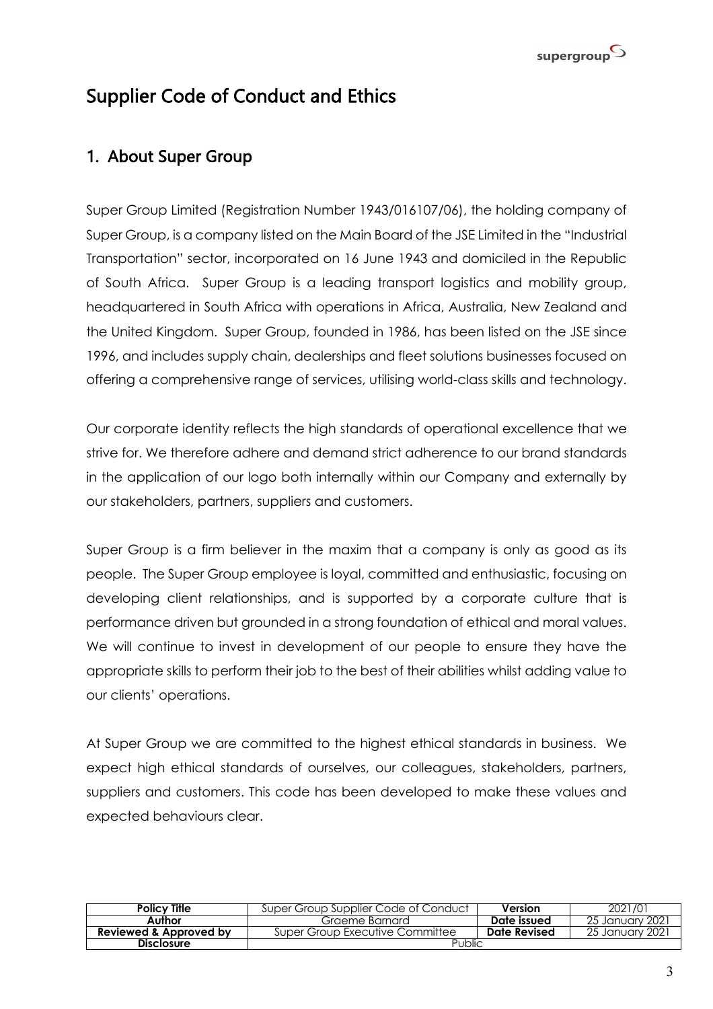

# Supplier Code of Conduct and Ethics

# 1. About Super Group

Super Group Limited (Registration Number 1943/016107/06), the holding company of Super Group, is a company listed on the Main Board of the JSE Limited in the "Industrial Transportation" sector, incorporated on 16 June 1943 and domiciled in the Republic of South Africa. Super Group is a leading transport logistics and mobility group, headquartered in South Africa with operations in Africa, Australia, New Zealand and the United Kingdom. Super Group, founded in 1986, has been listed on the JSE since 1996, and includes supply chain, dealerships and fleet solutions businesses focused on offering a comprehensive range of services, utilising world-class skills and technology.

Our corporate identity reflects the high standards of operational excellence that we strive for. We therefore adhere and demand strict adherence to our brand standards in the application of our logo both internally within our Company and externally by our stakeholders, partners, suppliers and customers.

Super Group is a firm believer in the maxim that a company is only as good as its people. The Super Group employee is loyal, committed and enthusiastic, focusing on developing client relationships, and is supported by a corporate culture that is performance driven but grounded in a strong foundation of ethical and moral values. We will continue to invest in development of our people to ensure they have the appropriate skills to perform their job to the best of their abilities whilst adding value to our clients' operations.

At Super Group we are committed to the highest ethical standards in business. We expect high ethical standards of ourselves, our colleagues, stakeholders, partners, suppliers and customers. This code has been developed to make these values and expected behaviours clear.

| <b>Policy Title</b>               | Super Group Supplier Code of Conduct | Version      | 2021/01          |
|-----------------------------------|--------------------------------------|--------------|------------------|
| Author                            | Graeme Barnard                       | Date issued  | -25 January 2021 |
| <b>Reviewed &amp; Approved by</b> | Super Group Executive Committee      | Date Revised | -25 January 2021 |
| <b>Disclosure</b>                 | Public                               |              |                  |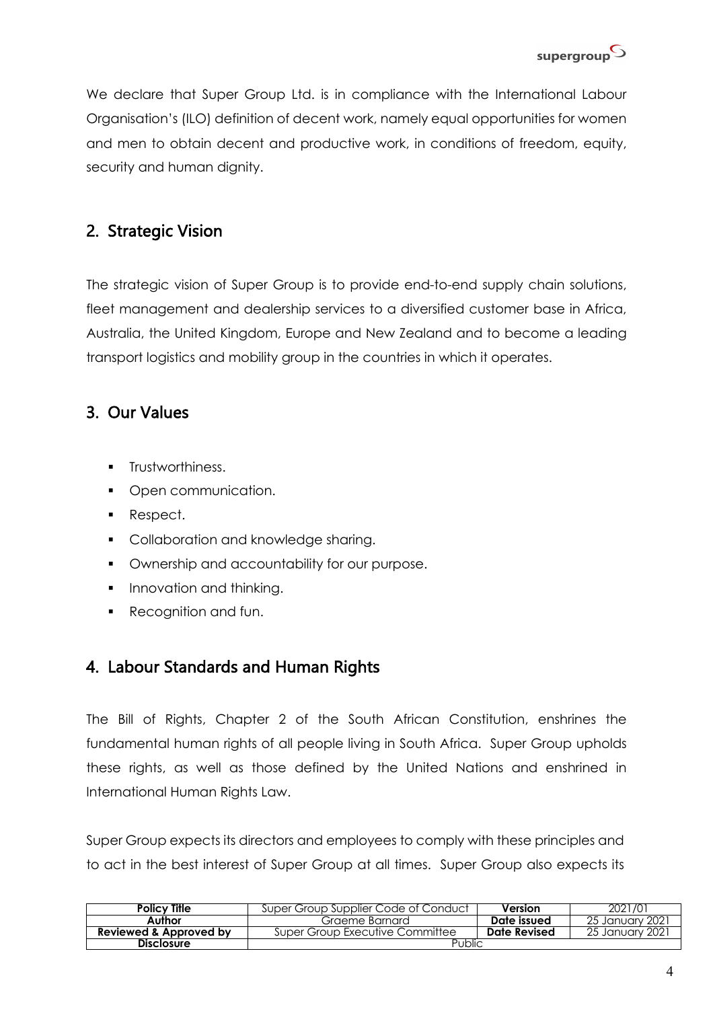

We declare that Super Group Ltd. is in compliance with the International Labour Organisation's (ILO) definition of decent work, namely equal opportunities for women and men to obtain decent and productive work, in conditions of freedom, equity, security and human dignity.

# 2. Strategic Vision

The strategic vision of Super Group is to provide end-to-end supply chain solutions, fleet management and dealership services to a diversified customer base in Africa, Australia, the United Kingdom, Europe and New Zealand and to become a leading transport logistics and mobility group in the countries in which it operates.

# 3. Our Values

- § Trustworthiness.
- Open communication.
- Respect.
- **Collaboration and knowledge sharing.**
- **Ownership and accountability for our purpose.**
- Innovation and thinking.
- § Recognition and fun.

# 4. Labour Standards and Human Rights

The Bill of Rights, Chapter 2 of the South African Constitution, enshrines the fundamental human rights of all people living in South Africa. Super Group upholds these rights, as well as those defined by the United Nations and enshrined in International Human Rights Law.

Super Group expects its directors and employees to comply with these principles and to act in the best interest of Super Group at all times. Super Group also expects its

| <b>Policy Title</b>               | Super Group Supplier Code of Conduct | Version      | 2021/01          |
|-----------------------------------|--------------------------------------|--------------|------------------|
| Author                            | Graeme Barnard                       | Date issued  | -25 January 2021 |
| <b>Reviewed &amp; Approved by</b> | Super Group Executive Committee      | Date Revised | -25 January 2021 |
| <b>Disclosure</b>                 | Public                               |              |                  |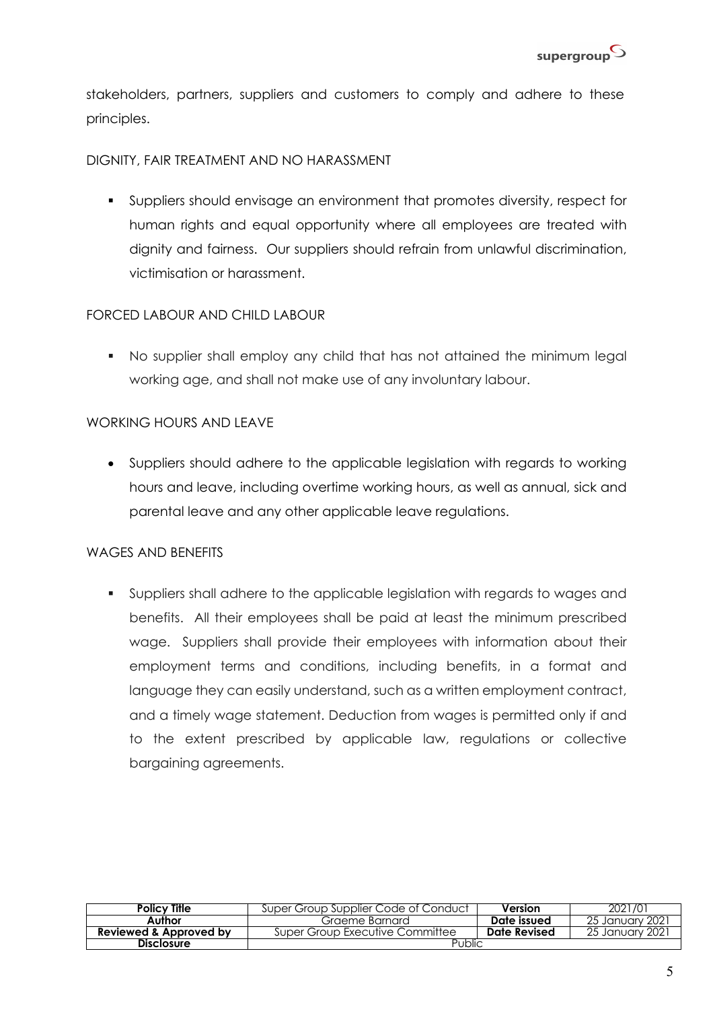stakeholders, partners, suppliers and customers to comply and adhere to these principles.

#### DIGNITY, FAIR TREATMENT AND NO HARASSMENT

§ Suppliers should envisage an environment that promotes diversity, respect for human rights and equal opportunity where all employees are treated with dignity and fairness. Our suppliers should refrain from unlawful discrimination, victimisation or harassment.

#### FORCED LABOUR AND CHILD LABOUR

§ No supplier shall employ any child that has not attained the minimum legal working age, and shall not make use of any involuntary labour.

#### WORKING HOURS AND LEAVE

• Suppliers should adhere to the applicable legislation with regards to working hours and leave, including overtime working hours, as well as annual, sick and parental leave and any other applicable leave regulations.

#### WAGES AND BENEFITS

§ Suppliers shall adhere to the applicable legislation with regards to wages and benefits. All their employees shall be paid at least the minimum prescribed wage. Suppliers shall provide their employees with information about their employment terms and conditions, including benefits, in a format and language they can easily understand, such as a written employment contract, and a timely wage statement. Deduction from wages is permitted only if and to the extent prescribed by applicable law, regulations or collective bargaining agreements.

| <b>Policy Title</b>               | Super Group Supplier Code of Conduct | Version      | 2021/01          |
|-----------------------------------|--------------------------------------|--------------|------------------|
| Author                            | Graeme Barnard                       | Date issued  | -25 January 2021 |
| <b>Reviewed &amp; Approved by</b> | Super Group Executive Committee      | Date Revised | -25 January 2021 |
| <b>Disclosure</b>                 | Public                               |              |                  |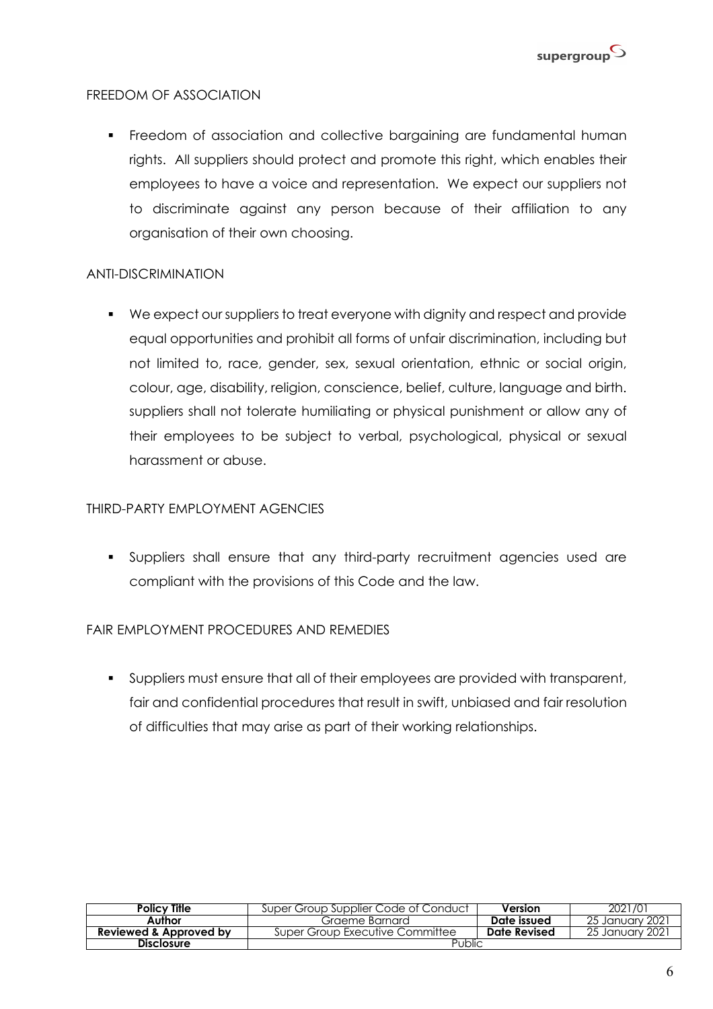

#### FREEDOM OF ASSOCIATION

• Freedom of association and collective bargaining are fundamental human rights. All suppliers should protect and promote this right, which enables their employees to have a voice and representation. We expect our suppliers not to discriminate against any person because of their affiliation to any organisation of their own choosing.

#### ANTI-DISCRIMINATION

§ We expect our suppliers to treat everyone with dignity and respect and provide equal opportunities and prohibit all forms of unfair discrimination, including but not limited to, race, gender, sex, sexual orientation, ethnic or social origin, colour, age, disability, religion, conscience, belief, culture, language and birth. suppliers shall not tolerate humiliating or physical punishment or allow any of their employees to be subject to verbal, psychological, physical or sexual harassment or abuse.

#### THIRD-PARTY EMPLOYMENT AGENCIES

§ Suppliers shall ensure that any third-party recruitment agencies used are compliant with the provisions of this Code and the law.

#### FAIR EMPLOYMENT PROCEDURES AND REMEDIES

§ Suppliers must ensure that all of their employees are provided with transparent, fair and confidential procedures that result in swift, unbiased and fair resolution of difficulties that may arise as part of their working relationships.

| Policy Title           | Super Group Supplier Code of Conduct | Version      | 2021/01          |
|------------------------|--------------------------------------|--------------|------------------|
| Author                 | Graeme Barnard                       | Date issued  | -25 January 2021 |
| Reviewed & Approved by | Super Group Executive Committee      | Date Revised | 25 January 2021  |
| <b>Disclosure</b>      | Public                               |              |                  |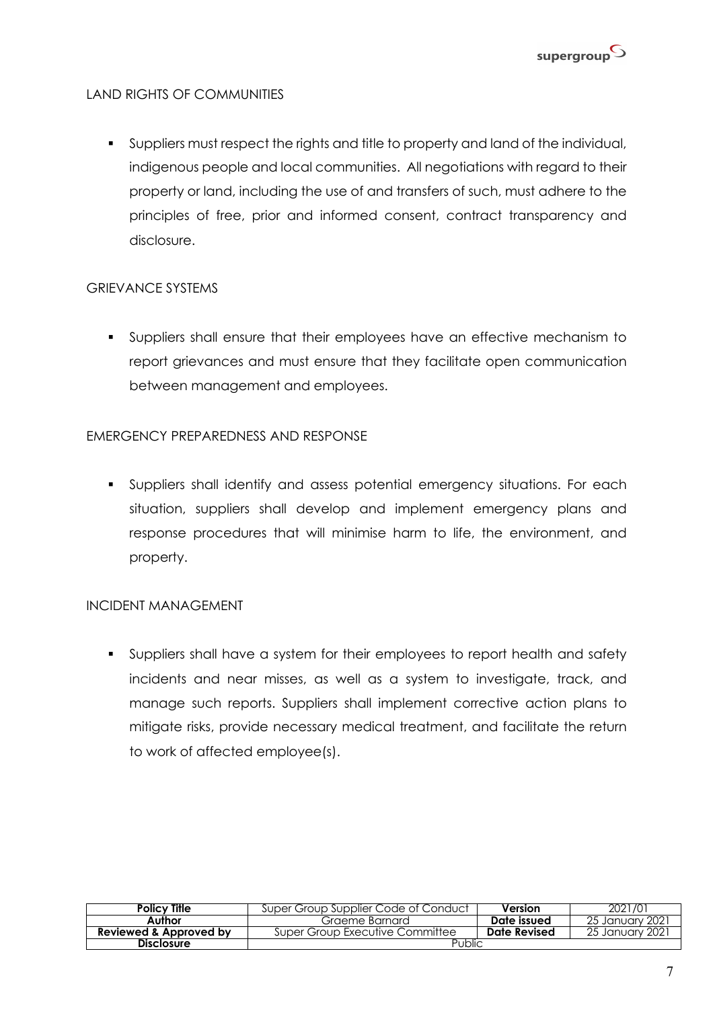

#### LAND RIGHTS OF COMMUNITIES

§ Suppliers must respect the rights and title to property and land of the individual, indigenous people and local communities. All negotiations with regard to their property or land, including the use of and transfers of such, must adhere to the principles of free, prior and informed consent, contract transparency and disclosure.

#### GRIEVANCE SYSTEMS

§ Suppliers shall ensure that their employees have an effective mechanism to report grievances and must ensure that they facilitate open communication between management and employees.

#### EMERGENCY PREPAREDNESS AND RESPONSE

§ Suppliers shall identify and assess potential emergency situations. For each situation, suppliers shall develop and implement emergency plans and response procedures that will minimise harm to life, the environment, and property.

#### INCIDENT MANAGEMENT

§ Suppliers shall have a system for their employees to report health and safety incidents and near misses, as well as a system to investigate, track, and manage such reports. Suppliers shall implement corrective action plans to mitigate risks, provide necessary medical treatment, and facilitate the return to work of affected employee(s).

| <b>Policy Tille</b>    | Super Group Supplier Code of Conduct | Version      | 2021/01          |
|------------------------|--------------------------------------|--------------|------------------|
| Author                 | Graeme Barnard                       | Date issued  | -25 January 2021 |
| Reviewed & Approved by | Super Group Executive Committee      | Date Revised | 25 January 2021  |
| <b>Disclosure</b>      | Public                               |              |                  |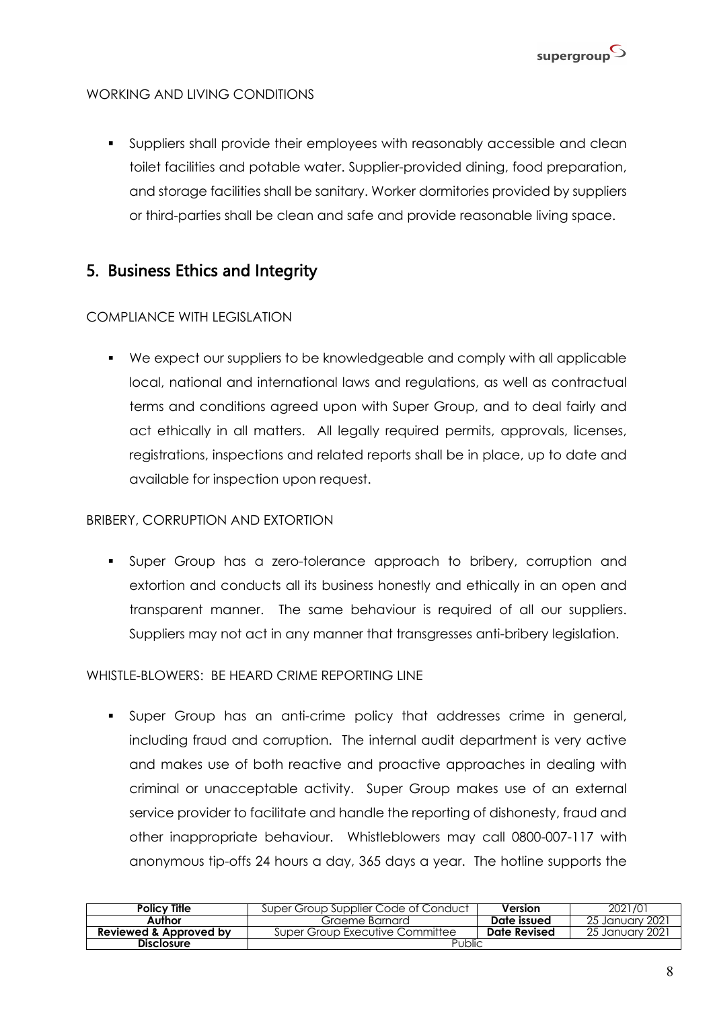

#### WORKING AND LIVING CONDITIONS

§ Suppliers shall provide their employees with reasonably accessible and clean toilet facilities and potable water. Supplier-provided dining, food preparation, and storage facilities shall be sanitary. Worker dormitories provided by suppliers or third-parties shall be clean and safe and provide reasonable living space.

# 5. Business Ethics and Integrity

#### COMPLIANCE WITH LEGISLATION

§ We expect our suppliers to be knowledgeable and comply with all applicable local, national and international laws and regulations, as well as contractual terms and conditions agreed upon with Super Group, and to deal fairly and act ethically in all matters. All legally required permits, approvals, licenses, registrations, inspections and related reports shall be in place, up to date and available for inspection upon request.

#### BRIBERY, CORRUPTION AND EXTORTION

§ Super Group has a zero-tolerance approach to bribery, corruption and extortion and conducts all its business honestly and ethically in an open and transparent manner. The same behaviour is required of all our suppliers. Suppliers may not act in any manner that transgresses anti-bribery legislation.

#### WHISTLE-BLOWERS: BE HEARD CRIME REPORTING LINE

§ Super Group has an anti-crime policy that addresses crime in general, including fraud and corruption. The internal audit department is very active and makes use of both reactive and proactive approaches in dealing with criminal or unacceptable activity. Super Group makes use of an external service provider to facilitate and handle the reporting of dishonesty, fraud and other inappropriate behaviour. Whistleblowers may call 0800-007-117 with anonymous tip-offs 24 hours a day, 365 days a year. The hotline supports the

| <b>Policy Title</b>               | Super Group Supplier Code of Conduct | Version      | 2021/01          |
|-----------------------------------|--------------------------------------|--------------|------------------|
| Author                            | Graeme Barnard                       | Date issued  | -25 January 2021 |
| <b>Reviewed &amp; Approved by</b> | Super Group Executive Committee      | Date Revised | 25 January 2021  |
| <b>Disclosure</b>                 | Public                               |              |                  |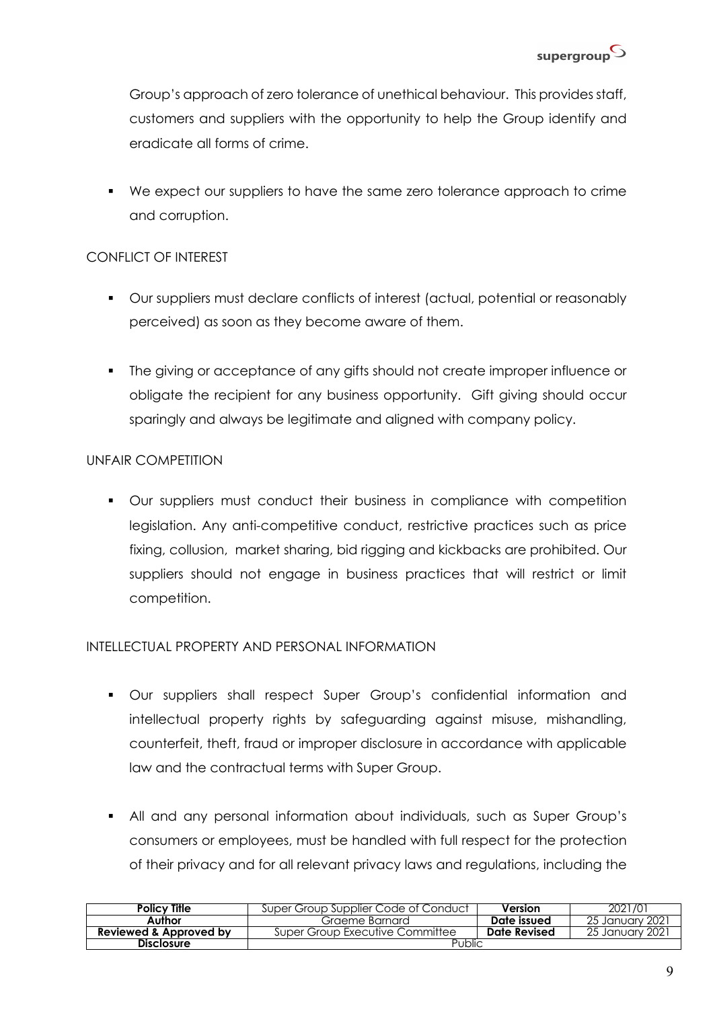Group's approach of zero tolerance of unethical behaviour. This provides staff, customers and suppliers with the opportunity to help the Group identify and eradicate all forms of crime.

§ We expect our suppliers to have the same zero tolerance approach to crime and corruption.

#### CONFLICT OF INTEREST

- § Our suppliers must declare conflicts of interest (actual, potential or reasonably perceived) as soon as they become aware of them.
- The giving or acceptance of any gifts should not create improper influence or obligate the recipient for any business opportunity. Gift giving should occur sparingly and always be legitimate and aligned with company policy.

#### UNFAIR COMPETITION

• Our suppliers must conduct their business in compliance with competition legislation. Any anti-competitive conduct, restrictive practices such as price fixing, collusion, market sharing, bid rigging and kickbacks are prohibited. Our suppliers should not engage in business practices that will restrict or limit competition.

#### INTELLECTUAL PROPERTY AND PERSONAL INFORMATION

- § Our suppliers shall respect Super Group's confidential information and intellectual property rights by safeguarding against misuse, mishandling, counterfeit, theft, fraud or improper disclosure in accordance with applicable law and the contractual terms with Super Group.
- § All and any personal information about individuals, such as Super Group's consumers or employees, must be handled with full respect for the protection of their privacy and for all relevant privacy laws and regulations, including the

| <b>Policy Title</b>               | Super Group Supplier Code of Conduct | Version      | 2021/01         |
|-----------------------------------|--------------------------------------|--------------|-----------------|
| Author                            | Graeme Barnard                       | Date issued  | 25 January 2021 |
| <b>Reviewed &amp; Approved by</b> | Super Group Executive Committee      | Date Revised | 25 January 2021 |
| <b>Disclosure</b>                 | Public                               |              |                 |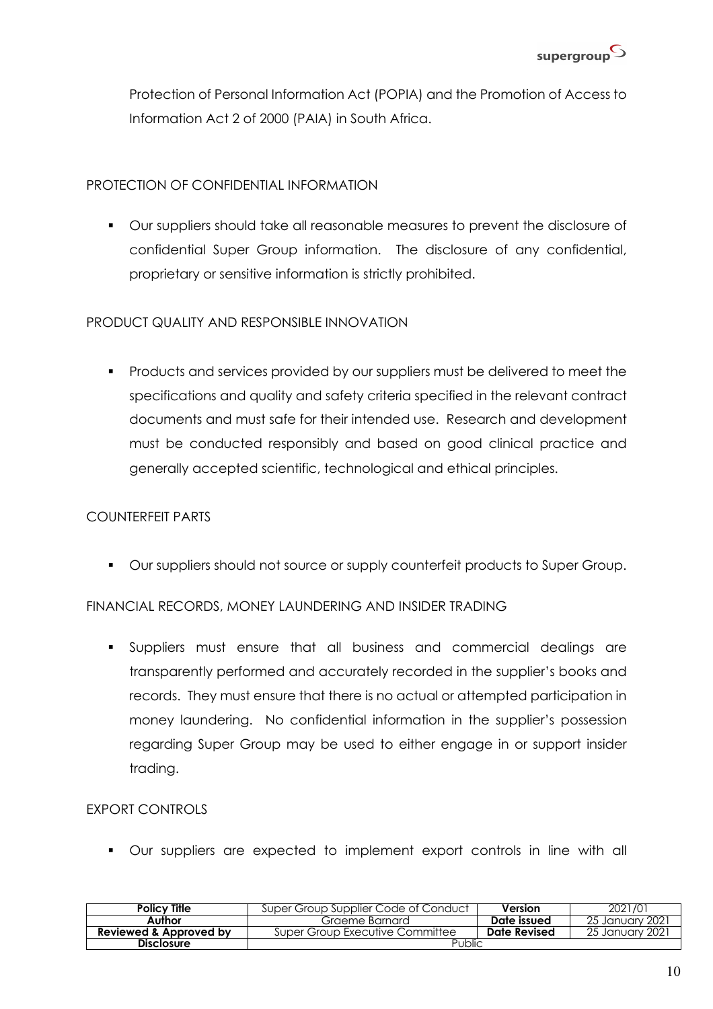

Protection of Personal Information Act (POPIA) and the Promotion of Access to Information Act 2 of 2000 (PAIA) in South Africa.

#### PROTECTION OF CONFIDENTIAL INFORMATION

§ Our suppliers should take all reasonable measures to prevent the disclosure of confidential Super Group information. The disclosure of any confidential, proprietary or sensitive information is strictly prohibited.

#### PRODUCT QUALITY AND RESPONSIBLE INNOVATION

§ Products and services provided by our suppliers must be delivered to meet the specifications and quality and safety criteria specified in the relevant contract documents and must safe for their intended use. Research and development must be conducted responsibly and based on good clinical practice and generally accepted scientific, technological and ethical principles.

### COUNTERFEIT PARTS

■ Our suppliers should not source or supply counterfeit products to Super Group.

#### FINANCIAL RECORDS, MONEY LAUNDERING AND INSIDER TRADING

§ Suppliers must ensure that all business and commercial dealings are transparently performed and accurately recorded in the supplier's books and records. They must ensure that there is no actual or attempted participation in money laundering. No confidential information in the supplier's possession regarding Super Group may be used to either engage in or support insider trading.

#### EXPORT CONTROLS

§ Our suppliers are expected to implement export controls in line with all

| Policy Title                      | Super Group Supplier Code of Conduct | Version      | 2021/01          |
|-----------------------------------|--------------------------------------|--------------|------------------|
| Author                            | Graeme Barnard                       | Date issued  | -25 January 2021 |
| <b>Reviewed &amp; Approved by</b> | Super Group Executive Committee      | Date Revised | -25 January 2021 |
| <b>Disclosure</b>                 | Public                               |              |                  |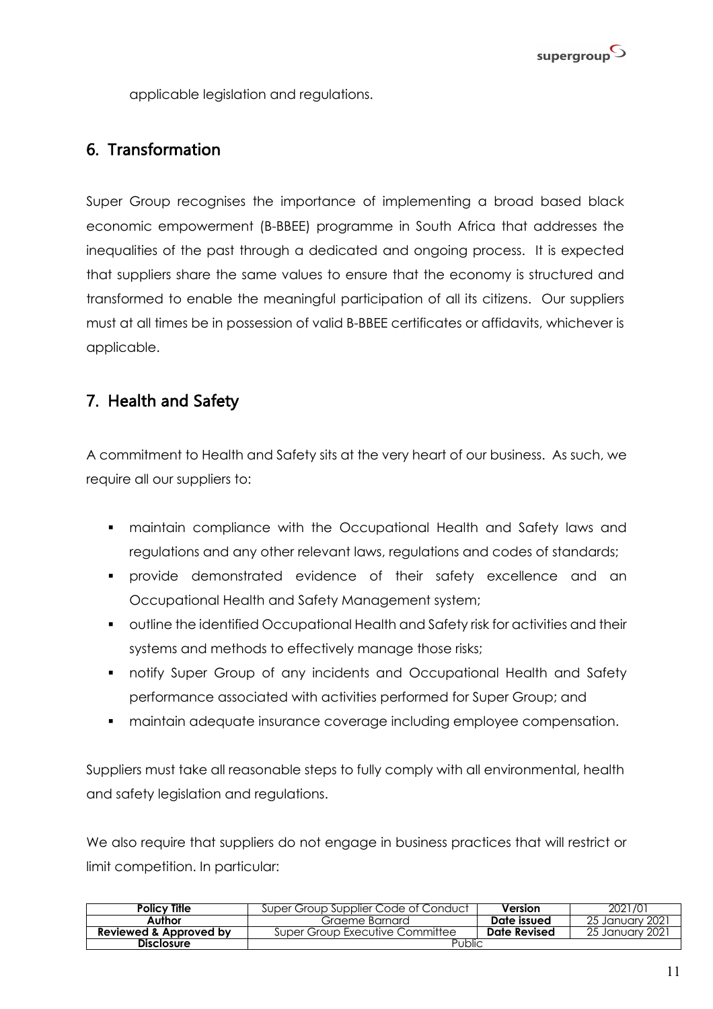

applicable legislation and regulations.

# 6. Transformation

Super Group recognises the importance of implementing a broad based black economic empowerment (B-BBEE) programme in South Africa that addresses the inequalities of the past through a dedicated and ongoing process. It is expected that suppliers share the same values to ensure that the economy is structured and transformed to enable the meaningful participation of all its citizens. Our suppliers must at all times be in possession of valid B-BBEE certificates or affidavits, whichever is applicable.

# 7. Health and Safety

A commitment to Health and Safety sits at the very heart of our business. As such, we require all our suppliers to:

- maintain compliance with the Occupational Health and Safety laws and regulations and any other relevant laws, regulations and codes of standards;
- § provide demonstrated evidence of their safety excellence and an Occupational Health and Safety Management system;
- outline the identified Occupational Health and Safety risk for activities and their systems and methods to effectively manage those risks;
- notify Super Group of any incidents and Occupational Health and Safety performance associated with activities performed for Super Group; and
- maintain adequate insurance coverage including employee compensation.

Suppliers must take all reasonable steps to fully comply with all environmental, health and safety legislation and regulations.

We also require that suppliers do not engage in business practices that will restrict or limit competition. In particular:

| <b>Policy Title</b>               | Super Group Supplier Code of Conduct | Version      | 2021/01          |
|-----------------------------------|--------------------------------------|--------------|------------------|
| Author                            | Graeme Barnard                       | Date issued  | -25 January 2021 |
| <b>Reviewed &amp; Approved by</b> | Super Group Executive Committee      | Date Revised | 25 January 2021  |
| <b>Disclosure</b>                 | Public                               |              |                  |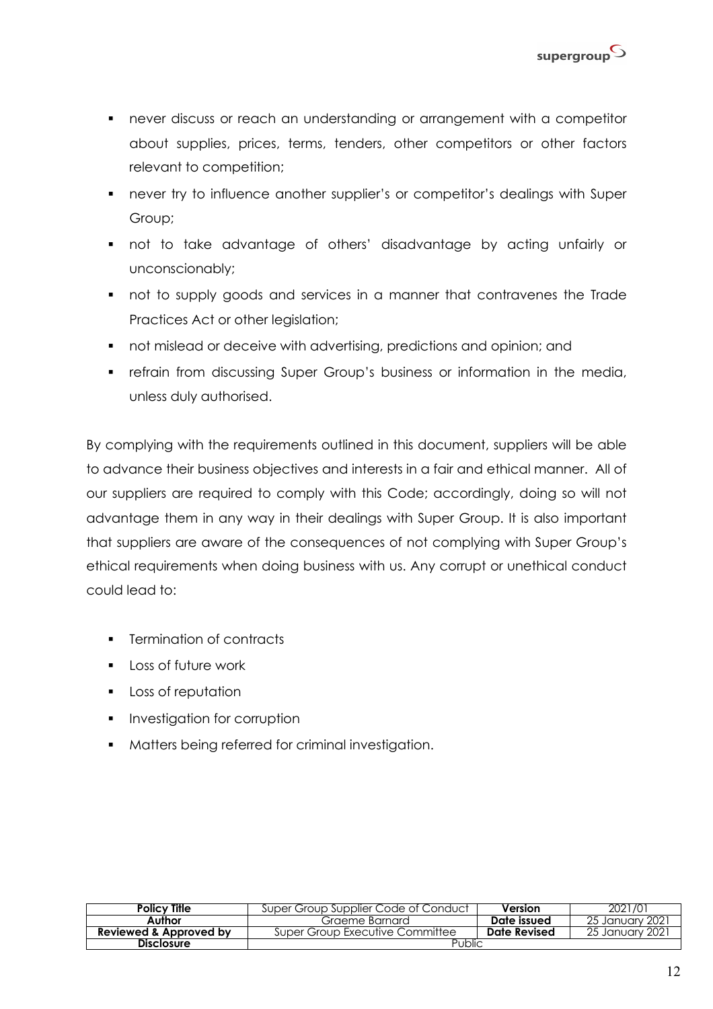

- never discuss or reach an understanding or arrangement with a competitor about supplies, prices, terms, tenders, other competitors or other factors relevant to competition;
- never try to influence another supplier's or competitor's dealings with Super Group;
- § not to take advantage of others' disadvantage by acting unfairly or unconscionably;
- not to supply goods and services in a manner that contravenes the Trade Practices Act or other legislation;
- not mislead or deceive with advertising, predictions and opinion; and
- **•** refrain from discussing Super Group's business or information in the media, unless duly authorised.

By complying with the requirements outlined in this document, suppliers will be able to advance their business objectives and interests in a fair and ethical manner. All of our suppliers are required to comply with this Code; accordingly, doing so will not advantage them in any way in their dealings with Super Group. It is also important that suppliers are aware of the consequences of not complying with Super Group's ethical requirements when doing business with us. Any corrupt or unethical conduct could lead to:

- Termination of contracts
- Loss of future work
- **•** Loss of reputation
- **•** Investigation for corruption
- **•** Matters being referred for criminal investigation.

| <b>Policy Title</b>               | Super Group Supplier Code of Conduct | Version      | 2021/01          |
|-----------------------------------|--------------------------------------|--------------|------------------|
| Author                            | Graeme Barnard                       | Date issued  | -25 January 2021 |
| <b>Reviewed &amp; Approved by</b> | Super Group Executive Committee      | Date Revised | -25 January 2021 |
| <b>Disclosure</b>                 | Public                               |              |                  |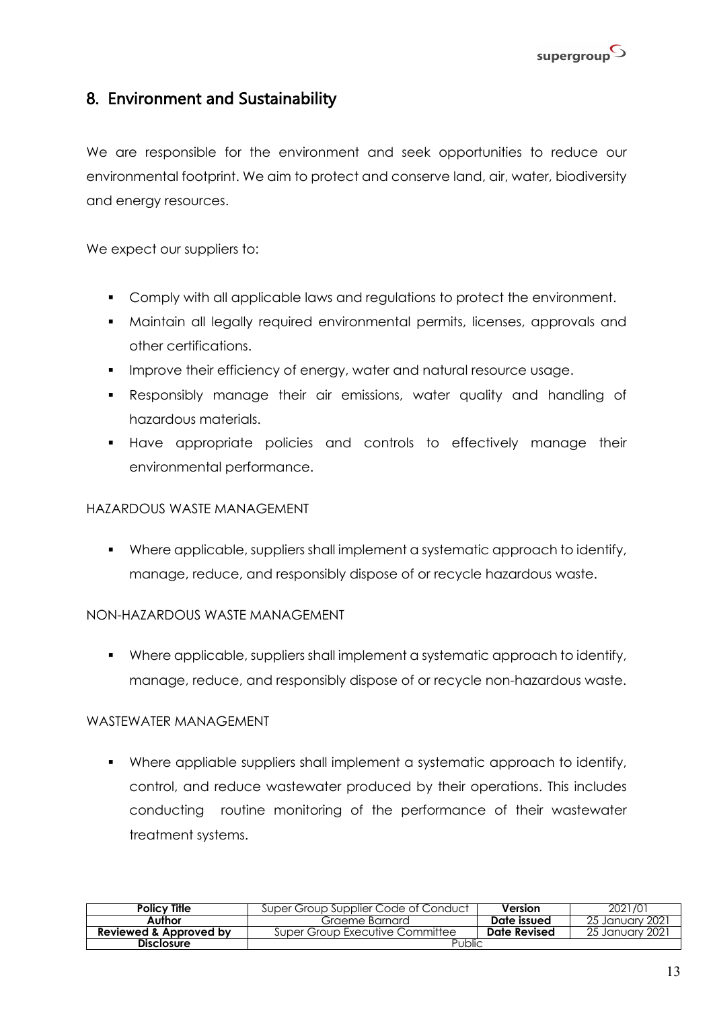

# 8. Environment and Sustainability

We are responsible for the environment and seek opportunities to reduce our environmental footprint. We aim to protect and conserve land, air, water, biodiversity and energy resources.

We expect our suppliers to:

- § Comply with all applicable laws and regulations to protect the environment.
- § Maintain all legally required environmental permits, licenses, approvals and other certifications.
- § Improve their efficiency of energy, water and natural resource usage.
- § Responsibly manage their air emissions, water quality and handling of hazardous materials.
- § Have appropriate policies and controls to effectively manage their environmental performance.

#### HAZARDOUS WASTE MANAGEMENT

§ Where applicable, suppliers shall implement a systematic approach to identify, manage, reduce, and responsibly dispose of or recycle hazardous waste.

#### NON-HAZARDOUS WASTE MANAGEMENT

§ Where applicable, suppliers shall implement a systematic approach to identify, manage, reduce, and responsibly dispose of or recycle non-hazardous waste.

#### WASTEWATER MANAGEMENT

§ Where appliable suppliers shall implement a systematic approach to identify, control, and reduce wastewater produced by their operations. This includes conducting routine monitoring of the performance of their wastewater treatment systems.

| <b>Policy Title</b>               | Super Group Supplier Code of Conduct | Version      | 2021/01          |
|-----------------------------------|--------------------------------------|--------------|------------------|
| Author                            | Graeme Barnard                       | Date issued  | -25 January 2021 |
| <b>Reviewed &amp; Approved by</b> | Super Group Executive Committee      | Date Revised | 25 January 2021  |
| <b>Disclosure</b>                 | Public                               |              |                  |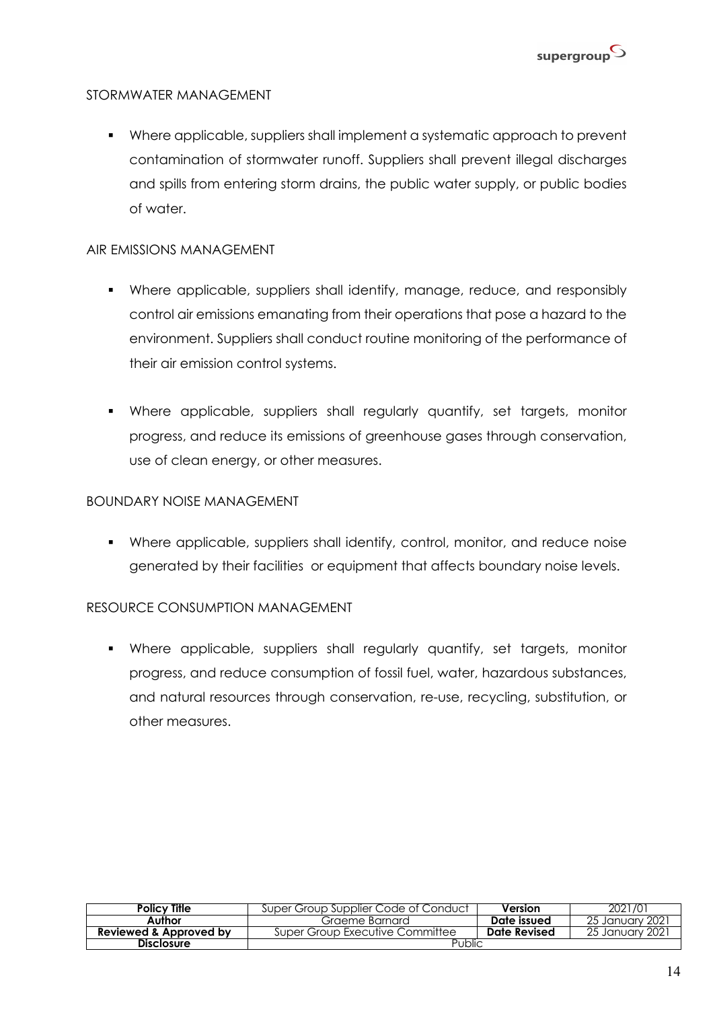

#### STORMWATER MANAGEMENT

§ Where applicable, suppliers shall implement a systematic approach to prevent contamination of stormwater runoff. Suppliers shall prevent illegal discharges and spills from entering storm drains, the public water supply, or public bodies of water.

#### AIR EMISSIONS MANAGEMENT

- § Where applicable, suppliers shall identify, manage, reduce, and responsibly control air emissions emanating from their operations that pose a hazard to the environment. Suppliers shall conduct routine monitoring of the performance of their air emission control systems.
- § Where applicable, suppliers shall regularly quantify, set targets, monitor progress, and reduce its emissions of greenhouse gases through conservation, use of clean energy, or other measures.

#### BOUNDARY NOISE MANAGEMENT

§ Where applicable, suppliers shall identify, control, monitor, and reduce noise generated by their facilities or equipment that affects boundary noise levels.

#### RESOURCE CONSUMPTION MANAGEMENT

§ Where applicable, suppliers shall regularly quantify, set targets, monitor progress, and reduce consumption of fossil fuel, water, hazardous substances, and natural resources through conservation, re-use, recycling, substitution, or other measures.

| Policy Title           | Super Group Supplier Code of Conduct | Version      | 2021/01          |
|------------------------|--------------------------------------|--------------|------------------|
| Author                 | Graeme Barnard                       | Date issued  | -25 January 2021 |
| Reviewed & Approved by | Super Group Executive Committee      | Date Revised | 25 January 2021  |
| <b>Disclosure</b>      | Public                               |              |                  |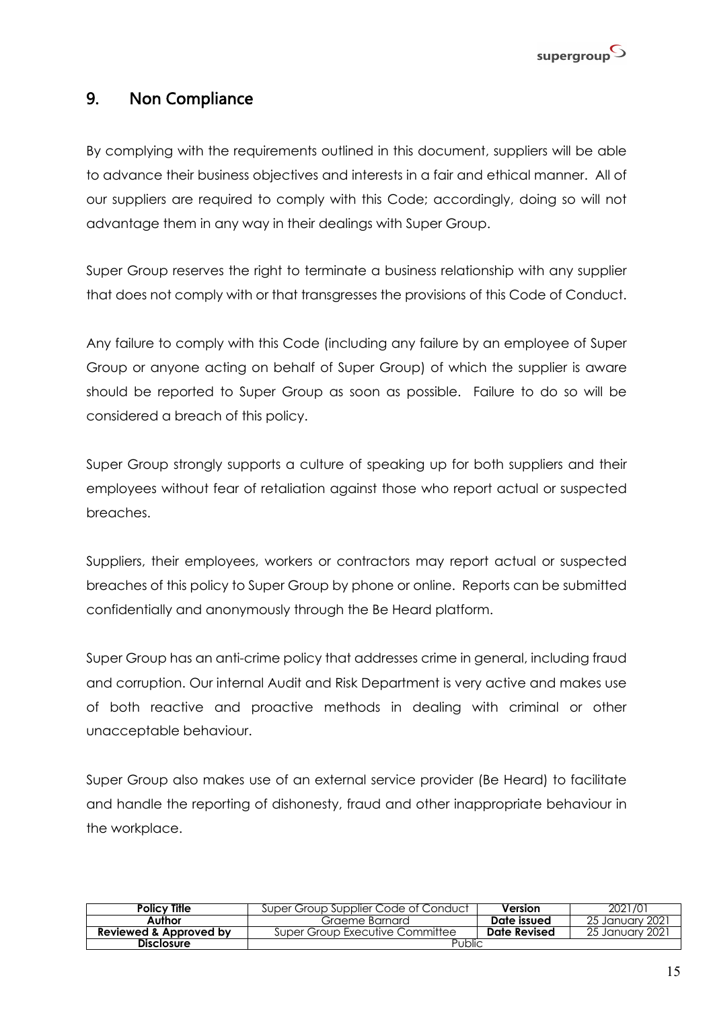

# 9. Non Compliance

By complying with the requirements outlined in this document, suppliers will be able to advance their business objectives and interests in a fair and ethical manner. All of our suppliers are required to comply with this Code; accordingly, doing so will not advantage them in any way in their dealings with Super Group.

Super Group reserves the right to terminate a business relationship with any supplier that does not comply with or that transgresses the provisions of this Code of Conduct.

Any failure to comply with this Code (including any failure by an employee of Super Group or anyone acting on behalf of Super Group) of which the supplier is aware should be reported to Super Group as soon as possible. Failure to do so will be considered a breach of this policy.

Super Group strongly supports a culture of speaking up for both suppliers and their employees without fear of retaliation against those who report actual or suspected breaches.

Suppliers, their employees, workers or contractors may report actual or suspected breaches of this policy to Super Group by phone or online. Reports can be submitted confidentially and anonymously through the Be Heard platform.

Super Group has an anti-crime policy that addresses crime in general, including fraud and corruption. Our internal Audit and Risk Department is very active and makes use of both reactive and proactive methods in dealing with criminal or other unacceptable behaviour.

Super Group also makes use of an external service provider (Be Heard) to facilitate and handle the reporting of dishonesty, fraud and other inappropriate behaviour in the workplace.

| <b>Policy Title</b>               | Super Group Supplier Code of Conduct | Version      | 2021/01          |
|-----------------------------------|--------------------------------------|--------------|------------------|
| <b>Author</b>                     | Graeme Barnard                       | Date issued  | -25 January 2021 |
| <b>Reviewed &amp; Approved by</b> | Super Group Executive Committee      | Date Revised | -25 January 2021 |
| <b>Disclosure</b>                 | Public                               |              |                  |